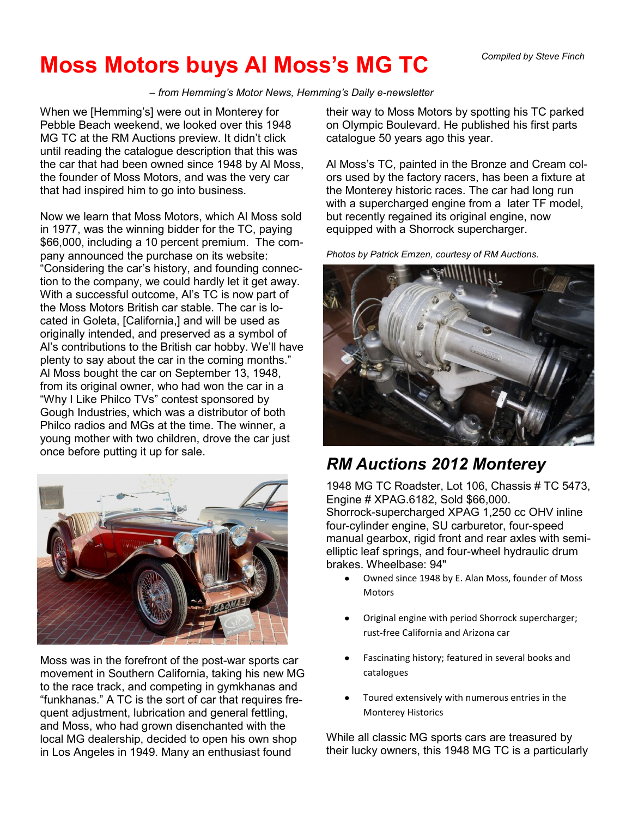*Compiled by Steve Finch*

## **Moss Motors buys Al Moss's MG TC**

*– from Hemming's Motor News, Hemming's Daily e-newsletter*

When we [Hemming's] were out in Monterey for Pebble Beach weekend, we looked over this 1948 MG TC at the RM Auctions preview. It didn't click until reading the catalogue description that this was the car that had been owned since 1948 by Al Moss, the founder of Moss Motors, and was the very car that had inspired him to go into business.

Now we learn that Moss Motors, which Al Moss sold in 1977, was the winning bidder for the TC, paying \$66,000, including a 10 percent premium. The company announced the purchase on its website: "Considering the car's history, and founding connection to the company, we could hardly let it get away. With a successful outcome, Al's TC is now part of the Moss Motors British car stable. The car is located in Goleta, [California,] and will be used as originally intended, and preserved as a symbol of Al's contributions to the British car hobby. We'll have plenty to say about the car in the coming months." Al Moss bought the car on September 13, 1948, from its original owner, who had won the car in a "Why I Like Philco TVs" contest sponsored by Gough Industries, which was a distributor of both Philco radios and MGs at the time. The winner, a young mother with two children, drove the car just once before putting it up for sale.



Moss was in the forefront of the post-war sports car movement in Southern California, taking his new MG to the race track, and competing in gymkhanas and "funkhanas." A TC is the sort of car that requires frequent adjustment, lubrication and general fettling, and Moss, who had grown disenchanted with the local MG dealership, decided to open his own shop in Los Angeles in 1949. Many an enthusiast found

their way to Moss Motors by spotting his TC parked on Olympic Boulevard. He published his first parts catalogue 50 years ago this year.

Al Moss's TC, painted in the Bronze and Cream colors used by the factory racers, has been a fixture at the Monterey historic races. The car had long run with a supercharged engine from a later TF model, but recently regained its original engine, now equipped with a Shorrock supercharger.

*Photos by Patrick Ernzen, courtesy of RM Auctions.*



## *RM Auctions 2012 Monterey*

1948 MG TC Roadster, Lot 106, Chassis # TC 5473, Engine # XPAG.6182, Sold \$66,000. Shorrock-supercharged XPAG 1,250 cc OHV inline four-cylinder engine, SU carburetor, four-speed manual gearbox, rigid front and rear axles with semielliptic leaf springs, and four-wheel hydraulic drum brakes. Wheelbase: 94"

- Owned since 1948 by E. Alan Moss, founder of Moss Motors
- Original engine with period Shorrock supercharger; rust-free California and Arizona car
- Fascinating history; featured in several books and catalogues
- Toured extensively with numerous entries in the Monterey Historics

While all classic MG sports cars are treasured by their lucky owners, this 1948 MG TC is a particularly